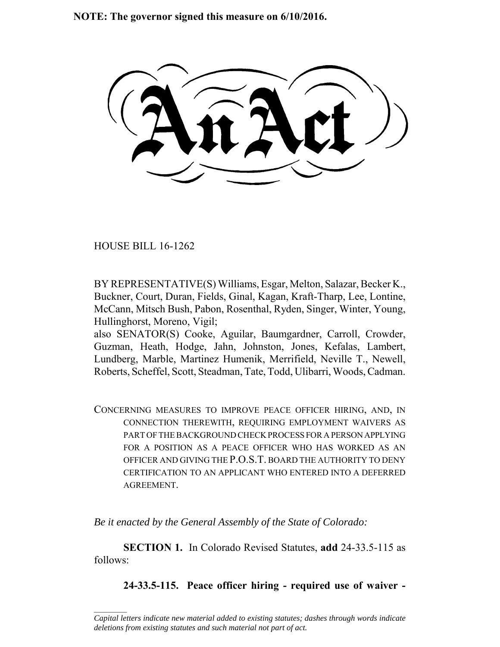**NOTE: The governor signed this measure on 6/10/2016.**

HOUSE BILL 16-1262

 $\frac{1}{2}$ 

BY REPRESENTATIVE(S) Williams, Esgar, Melton, Salazar, Becker K., Buckner, Court, Duran, Fields, Ginal, Kagan, Kraft-Tharp, Lee, Lontine, McCann, Mitsch Bush, Pabon, Rosenthal, Ryden, Singer, Winter, Young, Hullinghorst, Moreno, Vigil;

also SENATOR(S) Cooke, Aguilar, Baumgardner, Carroll, Crowder, Guzman, Heath, Hodge, Jahn, Johnston, Jones, Kefalas, Lambert, Lundberg, Marble, Martinez Humenik, Merrifield, Neville T., Newell, Roberts, Scheffel, Scott, Steadman, Tate, Todd, Ulibarri, Woods, Cadman.

CONCERNING MEASURES TO IMPROVE PEACE OFFICER HIRING, AND, IN CONNECTION THEREWITH, REQUIRING EMPLOYMENT WAIVERS AS PART OF THE BACKGROUND CHECK PROCESS FOR A PERSON APPLYING FOR A POSITION AS A PEACE OFFICER WHO HAS WORKED AS AN OFFICER AND GIVING THE P.O.S.T. BOARD THE AUTHORITY TO DENY CERTIFICATION TO AN APPLICANT WHO ENTERED INTO A DEFERRED AGREEMENT.

*Be it enacted by the General Assembly of the State of Colorado:*

**SECTION 1.** In Colorado Revised Statutes, **add** 24-33.5-115 as follows:

**24-33.5-115. Peace officer hiring - required use of waiver -**

*Capital letters indicate new material added to existing statutes; dashes through words indicate deletions from existing statutes and such material not part of act.*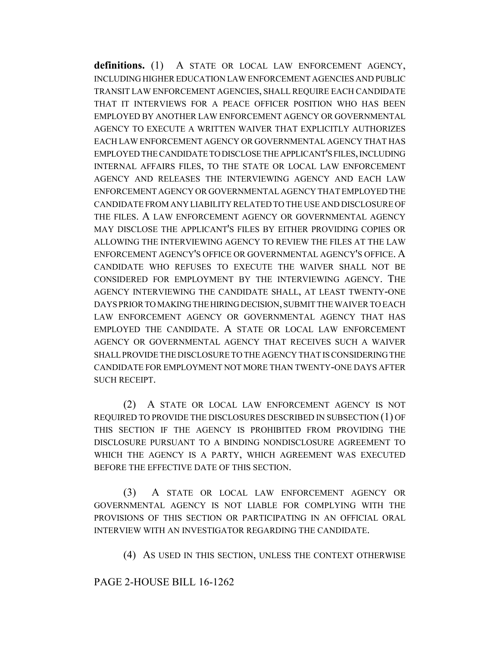**definitions.** (1) A STATE OR LOCAL LAW ENFORCEMENT AGENCY, INCLUDING HIGHER EDUCATION LAW ENFORCEMENT AGENCIES AND PUBLIC TRANSIT LAW ENFORCEMENT AGENCIES, SHALL REQUIRE EACH CANDIDATE THAT IT INTERVIEWS FOR A PEACE OFFICER POSITION WHO HAS BEEN EMPLOYED BY ANOTHER LAW ENFORCEMENT AGENCY OR GOVERNMENTAL AGENCY TO EXECUTE A WRITTEN WAIVER THAT EXPLICITLY AUTHORIZES EACH LAW ENFORCEMENT AGENCY OR GOVERNMENTAL AGENCY THAT HAS EMPLOYED THE CANDIDATE TO DISCLOSE THE APPLICANT'S FILES, INCLUDING INTERNAL AFFAIRS FILES, TO THE STATE OR LOCAL LAW ENFORCEMENT AGENCY AND RELEASES THE INTERVIEWING AGENCY AND EACH LAW ENFORCEMENT AGENCY OR GOVERNMENTAL AGENCY THAT EMPLOYED THE CANDIDATE FROM ANY LIABILITY RELATED TO THE USE AND DISCLOSURE OF THE FILES. A LAW ENFORCEMENT AGENCY OR GOVERNMENTAL AGENCY MAY DISCLOSE THE APPLICANT'S FILES BY EITHER PROVIDING COPIES OR ALLOWING THE INTERVIEWING AGENCY TO REVIEW THE FILES AT THE LAW ENFORCEMENT AGENCY'S OFFICE OR GOVERNMENTAL AGENCY'S OFFICE. A CANDIDATE WHO REFUSES TO EXECUTE THE WAIVER SHALL NOT BE CONSIDERED FOR EMPLOYMENT BY THE INTERVIEWING AGENCY. THE AGENCY INTERVIEWING THE CANDIDATE SHALL, AT LEAST TWENTY-ONE DAYS PRIOR TO MAKING THE HIRING DECISION, SUBMIT THE WAIVER TO EACH LAW ENFORCEMENT AGENCY OR GOVERNMENTAL AGENCY THAT HAS EMPLOYED THE CANDIDATE. A STATE OR LOCAL LAW ENFORCEMENT AGENCY OR GOVERNMENTAL AGENCY THAT RECEIVES SUCH A WAIVER SHALL PROVIDE THE DISCLOSURE TO THE AGENCY THAT IS CONSIDERING THE CANDIDATE FOR EMPLOYMENT NOT MORE THAN TWENTY-ONE DAYS AFTER SUCH RECEIPT.

(2) A STATE OR LOCAL LAW ENFORCEMENT AGENCY IS NOT REQUIRED TO PROVIDE THE DISCLOSURES DESCRIBED IN SUBSECTION (1) OF THIS SECTION IF THE AGENCY IS PROHIBITED FROM PROVIDING THE DISCLOSURE PURSUANT TO A BINDING NONDISCLOSURE AGREEMENT TO WHICH THE AGENCY IS A PARTY, WHICH AGREEMENT WAS EXECUTED BEFORE THE EFFECTIVE DATE OF THIS SECTION.

(3) A STATE OR LOCAL LAW ENFORCEMENT AGENCY OR GOVERNMENTAL AGENCY IS NOT LIABLE FOR COMPLYING WITH THE PROVISIONS OF THIS SECTION OR PARTICIPATING IN AN OFFICIAL ORAL INTERVIEW WITH AN INVESTIGATOR REGARDING THE CANDIDATE.

(4) AS USED IN THIS SECTION, UNLESS THE CONTEXT OTHERWISE

## PAGE 2-HOUSE BILL 16-1262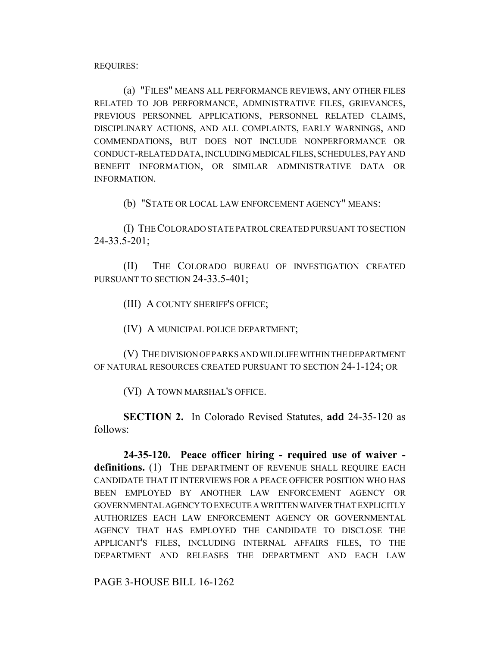REQUIRES:

(a) "FILES" MEANS ALL PERFORMANCE REVIEWS, ANY OTHER FILES RELATED TO JOB PERFORMANCE, ADMINISTRATIVE FILES, GRIEVANCES, PREVIOUS PERSONNEL APPLICATIONS, PERSONNEL RELATED CLAIMS, DISCIPLINARY ACTIONS, AND ALL COMPLAINTS, EARLY WARNINGS, AND COMMENDATIONS, BUT DOES NOT INCLUDE NONPERFORMANCE OR CONDUCT-RELATED DATA, INCLUDING MEDICAL FILES, SCHEDULES, PAY AND BENEFIT INFORMATION, OR SIMILAR ADMINISTRATIVE DATA OR INFORMATION.

(b) "STATE OR LOCAL LAW ENFORCEMENT AGENCY" MEANS:

(I) THE COLORADO STATE PATROL CREATED PURSUANT TO SECTION 24-33.5-201;

(II) THE COLORADO BUREAU OF INVESTIGATION CREATED PURSUANT TO SECTION 24-33.5-401;

(III) A COUNTY SHERIFF'S OFFICE;

(IV) A MUNICIPAL POLICE DEPARTMENT;

(V) THE DIVISION OF PARKS AND WILDLIFE WITHIN THE DEPARTMENT OF NATURAL RESOURCES CREATED PURSUANT TO SECTION 24-1-124; OR

(VI) A TOWN MARSHAL'S OFFICE.

**SECTION 2.** In Colorado Revised Statutes, **add** 24-35-120 as follows:

**24-35-120. Peace officer hiring - required use of waiver definitions.** (1) THE DEPARTMENT OF REVENUE SHALL REQUIRE EACH CANDIDATE THAT IT INTERVIEWS FOR A PEACE OFFICER POSITION WHO HAS BEEN EMPLOYED BY ANOTHER LAW ENFORCEMENT AGENCY OR GOVERNMENTAL AGENCY TO EXECUTE A WRITTEN WAIVER THAT EXPLICITLY AUTHORIZES EACH LAW ENFORCEMENT AGENCY OR GOVERNMENTAL AGENCY THAT HAS EMPLOYED THE CANDIDATE TO DISCLOSE THE APPLICANT'S FILES, INCLUDING INTERNAL AFFAIRS FILES, TO THE DEPARTMENT AND RELEASES THE DEPARTMENT AND EACH LAW

PAGE 3-HOUSE BILL 16-1262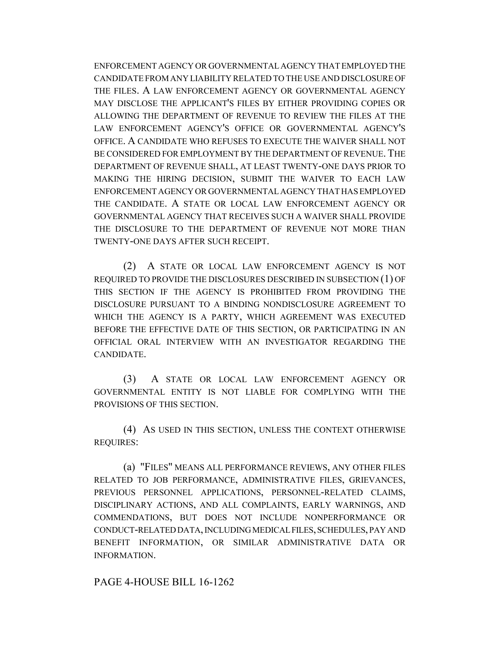ENFORCEMENT AGENCY OR GOVERNMENTAL AGENCY THAT EMPLOYED THE CANDIDATE FROM ANY LIABILITY RELATED TO THE USE AND DISCLOSURE OF THE FILES. A LAW ENFORCEMENT AGENCY OR GOVERNMENTAL AGENCY MAY DISCLOSE THE APPLICANT'S FILES BY EITHER PROVIDING COPIES OR ALLOWING THE DEPARTMENT OF REVENUE TO REVIEW THE FILES AT THE LAW ENFORCEMENT AGENCY'S OFFICE OR GOVERNMENTAL AGENCY'S OFFICE. A CANDIDATE WHO REFUSES TO EXECUTE THE WAIVER SHALL NOT BE CONSIDERED FOR EMPLOYMENT BY THE DEPARTMENT OF REVENUE. THE DEPARTMENT OF REVENUE SHALL, AT LEAST TWENTY-ONE DAYS PRIOR TO MAKING THE HIRING DECISION, SUBMIT THE WAIVER TO EACH LAW ENFORCEMENT AGENCY OR GOVERNMENTAL AGENCY THAT HAS EMPLOYED THE CANDIDATE. A STATE OR LOCAL LAW ENFORCEMENT AGENCY OR GOVERNMENTAL AGENCY THAT RECEIVES SUCH A WAIVER SHALL PROVIDE THE DISCLOSURE TO THE DEPARTMENT OF REVENUE NOT MORE THAN TWENTY-ONE DAYS AFTER SUCH RECEIPT.

(2) A STATE OR LOCAL LAW ENFORCEMENT AGENCY IS NOT REQUIRED TO PROVIDE THE DISCLOSURES DESCRIBED IN SUBSECTION (1) OF THIS SECTION IF THE AGENCY IS PROHIBITED FROM PROVIDING THE DISCLOSURE PURSUANT TO A BINDING NONDISCLOSURE AGREEMENT TO WHICH THE AGENCY IS A PARTY, WHICH AGREEMENT WAS EXECUTED BEFORE THE EFFECTIVE DATE OF THIS SECTION, OR PARTICIPATING IN AN OFFICIAL ORAL INTERVIEW WITH AN INVESTIGATOR REGARDING THE CANDIDATE.

(3) A STATE OR LOCAL LAW ENFORCEMENT AGENCY OR GOVERNMENTAL ENTITY IS NOT LIABLE FOR COMPLYING WITH THE PROVISIONS OF THIS SECTION.

(4) AS USED IN THIS SECTION, UNLESS THE CONTEXT OTHERWISE REQUIRES:

(a) "FILES" MEANS ALL PERFORMANCE REVIEWS, ANY OTHER FILES RELATED TO JOB PERFORMANCE, ADMINISTRATIVE FILES, GRIEVANCES, PREVIOUS PERSONNEL APPLICATIONS, PERSONNEL-RELATED CLAIMS, DISCIPLINARY ACTIONS, AND ALL COMPLAINTS, EARLY WARNINGS, AND COMMENDATIONS, BUT DOES NOT INCLUDE NONPERFORMANCE OR CONDUCT-RELATED DATA, INCLUDING MEDICAL FILES, SCHEDULES, PAY AND BENEFIT INFORMATION, OR SIMILAR ADMINISTRATIVE DATA OR INFORMATION.

PAGE 4-HOUSE BILL 16-1262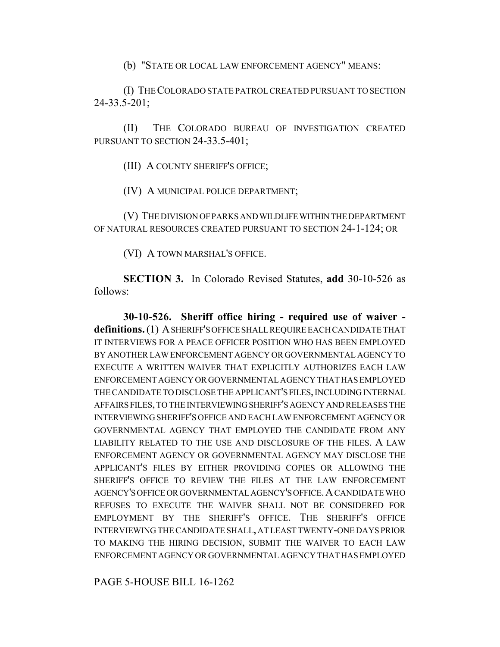(b) "STATE OR LOCAL LAW ENFORCEMENT AGENCY" MEANS:

(I) THE COLORADO STATE PATROL CREATED PURSUANT TO SECTION 24-33.5-201;

(II) THE COLORADO BUREAU OF INVESTIGATION CREATED PURSUANT TO SECTION 24-33.5-401;

(III) A COUNTY SHERIFF'S OFFICE;

(IV) A MUNICIPAL POLICE DEPARTMENT;

(V) THE DIVISION OF PARKS AND WILDLIFE WITHIN THE DEPARTMENT OF NATURAL RESOURCES CREATED PURSUANT TO SECTION 24-1-124; OR

(VI) A TOWN MARSHAL'S OFFICE.

**SECTION 3.** In Colorado Revised Statutes, **add** 30-10-526 as follows:

**30-10-526. Sheriff office hiring - required use of waiver definitions.** (1) A SHERIFF'S OFFICE SHALL REQUIRE EACH CANDIDATE THAT IT INTERVIEWS FOR A PEACE OFFICER POSITION WHO HAS BEEN EMPLOYED BY ANOTHER LAW ENFORCEMENT AGENCY OR GOVERNMENTAL AGENCY TO EXECUTE A WRITTEN WAIVER THAT EXPLICITLY AUTHORIZES EACH LAW ENFORCEMENT AGENCY OR GOVERNMENTAL AGENCY THAT HAS EMPLOYED THE CANDIDATE TO DISCLOSE THE APPLICANT'S FILES, INCLUDING INTERNAL AFFAIRS FILES, TO THE INTERVIEWING SHERIFF'S AGENCY AND RELEASES THE INTERVIEWING SHERIFF'S OFFICE AND EACH LAW ENFORCEMENT AGENCY OR GOVERNMENTAL AGENCY THAT EMPLOYED THE CANDIDATE FROM ANY LIABILITY RELATED TO THE USE AND DISCLOSURE OF THE FILES. A LAW ENFORCEMENT AGENCY OR GOVERNMENTAL AGENCY MAY DISCLOSE THE APPLICANT'S FILES BY EITHER PROVIDING COPIES OR ALLOWING THE SHERIFF'S OFFICE TO REVIEW THE FILES AT THE LAW ENFORCEMENT AGENCY'S OFFICE OR GOVERNMENTAL AGENCY'S OFFICE.A CANDIDATE WHO REFUSES TO EXECUTE THE WAIVER SHALL NOT BE CONSIDERED FOR EMPLOYMENT BY THE SHERIFF'S OFFICE. THE SHERIFF'S OFFICE INTERVIEWING THE CANDIDATE SHALL, AT LEAST TWENTY-ONE DAYS PRIOR TO MAKING THE HIRING DECISION, SUBMIT THE WAIVER TO EACH LAW ENFORCEMENT AGENCY OR GOVERNMENTAL AGENCY THAT HAS EMPLOYED

PAGE 5-HOUSE BILL 16-1262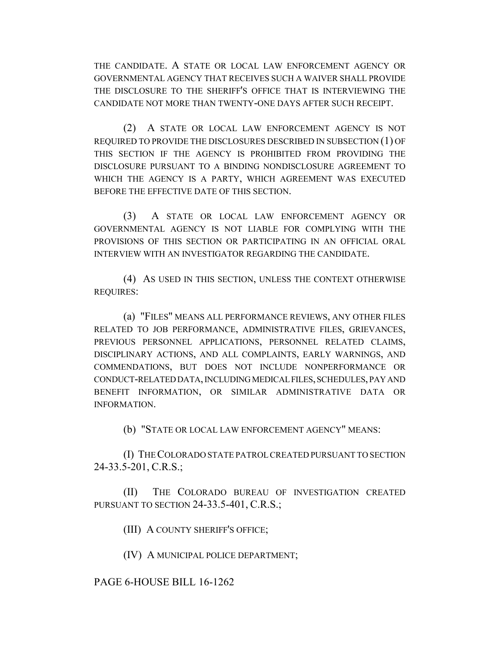THE CANDIDATE. A STATE OR LOCAL LAW ENFORCEMENT AGENCY OR GOVERNMENTAL AGENCY THAT RECEIVES SUCH A WAIVER SHALL PROVIDE THE DISCLOSURE TO THE SHERIFF'S OFFICE THAT IS INTERVIEWING THE CANDIDATE NOT MORE THAN TWENTY-ONE DAYS AFTER SUCH RECEIPT.

(2) A STATE OR LOCAL LAW ENFORCEMENT AGENCY IS NOT REQUIRED TO PROVIDE THE DISCLOSURES DESCRIBED IN SUBSECTION (1) OF THIS SECTION IF THE AGENCY IS PROHIBITED FROM PROVIDING THE DISCLOSURE PURSUANT TO A BINDING NONDISCLOSURE AGREEMENT TO WHICH THE AGENCY IS A PARTY, WHICH AGREEMENT WAS EXECUTED BEFORE THE EFFECTIVE DATE OF THIS SECTION.

(3) A STATE OR LOCAL LAW ENFORCEMENT AGENCY OR GOVERNMENTAL AGENCY IS NOT LIABLE FOR COMPLYING WITH THE PROVISIONS OF THIS SECTION OR PARTICIPATING IN AN OFFICIAL ORAL INTERVIEW WITH AN INVESTIGATOR REGARDING THE CANDIDATE.

(4) AS USED IN THIS SECTION, UNLESS THE CONTEXT OTHERWISE REQUIRES:

(a) "FILES" MEANS ALL PERFORMANCE REVIEWS, ANY OTHER FILES RELATED TO JOB PERFORMANCE, ADMINISTRATIVE FILES, GRIEVANCES, PREVIOUS PERSONNEL APPLICATIONS, PERSONNEL RELATED CLAIMS, DISCIPLINARY ACTIONS, AND ALL COMPLAINTS, EARLY WARNINGS, AND COMMENDATIONS, BUT DOES NOT INCLUDE NONPERFORMANCE OR CONDUCT-RELATED DATA, INCLUDING MEDICAL FILES, SCHEDULES, PAY AND BENEFIT INFORMATION, OR SIMILAR ADMINISTRATIVE DATA OR INFORMATION.

(b) "STATE OR LOCAL LAW ENFORCEMENT AGENCY" MEANS:

(I) THE COLORADO STATE PATROL CREATED PURSUANT TO SECTION 24-33.5-201, C.R.S.;

(II) THE COLORADO BUREAU OF INVESTIGATION CREATED PURSUANT TO SECTION 24-33.5-401, C.R.S.;

(III) A COUNTY SHERIFF'S OFFICE;

(IV) A MUNICIPAL POLICE DEPARTMENT;

## PAGE 6-HOUSE BILL 16-1262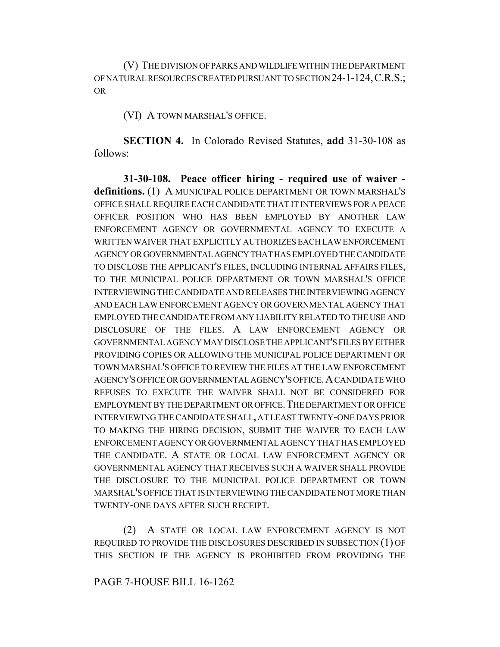(V) THE DIVISION OF PARKS AND WILDLIFE WITHIN THE DEPARTMENT OF NATURAL RESOURCES CREATED PURSUANT TO SECTION 24-1-124,C.R.S.; OR

(VI) A TOWN MARSHAL'S OFFICE.

**SECTION 4.** In Colorado Revised Statutes, **add** 31-30-108 as follows:

**31-30-108. Peace officer hiring - required use of waiver definitions.** (1) A MUNICIPAL POLICE DEPARTMENT OR TOWN MARSHAL'S OFFICE SHALL REQUIRE EACH CANDIDATE THAT IT INTERVIEWS FOR A PEACE OFFICER POSITION WHO HAS BEEN EMPLOYED BY ANOTHER LAW ENFORCEMENT AGENCY OR GOVERNMENTAL AGENCY TO EXECUTE A WRITTEN WAIVER THAT EXPLICITLY AUTHORIZES EACH LAW ENFORCEMENT AGENCY OR GOVERNMENTAL AGENCY THAT HAS EMPLOYED THE CANDIDATE TO DISCLOSE THE APPLICANT'S FILES, INCLUDING INTERNAL AFFAIRS FILES, TO THE MUNICIPAL POLICE DEPARTMENT OR TOWN MARSHAL'S OFFICE INTERVIEWING THE CANDIDATE AND RELEASES THE INTERVIEWING AGENCY AND EACH LAW ENFORCEMENT AGENCY OR GOVERNMENTAL AGENCY THAT EMPLOYED THE CANDIDATE FROM ANY LIABILITY RELATED TO THE USE AND DISCLOSURE OF THE FILES. A LAW ENFORCEMENT AGENCY OR GOVERNMENTAL AGENCY MAY DISCLOSE THE APPLICANT'S FILES BY EITHER PROVIDING COPIES OR ALLOWING THE MUNICIPAL POLICE DEPARTMENT OR TOWN MARSHAL'S OFFICE TO REVIEW THE FILES AT THE LAW ENFORCEMENT AGENCY'S OFFICE OR GOVERNMENTAL AGENCY'S OFFICE.A CANDIDATE WHO REFUSES TO EXECUTE THE WAIVER SHALL NOT BE CONSIDERED FOR EMPLOYMENT BY THE DEPARTMENT OR OFFICE. THE DEPARTMENT OR OFFICE INTERVIEWING THE CANDIDATE SHALL, AT LEAST TWENTY-ONE DAYS PRIOR TO MAKING THE HIRING DECISION, SUBMIT THE WAIVER TO EACH LAW ENFORCEMENT AGENCY OR GOVERNMENTAL AGENCY THAT HAS EMPLOYED THE CANDIDATE. A STATE OR LOCAL LAW ENFORCEMENT AGENCY OR GOVERNMENTAL AGENCY THAT RECEIVES SUCH A WAIVER SHALL PROVIDE THE DISCLOSURE TO THE MUNICIPAL POLICE DEPARTMENT OR TOWN MARSHAL'S OFFICE THAT IS INTERVIEWING THE CANDIDATE NOT MORE THAN TWENTY-ONE DAYS AFTER SUCH RECEIPT.

(2) A STATE OR LOCAL LAW ENFORCEMENT AGENCY IS NOT REQUIRED TO PROVIDE THE DISCLOSURES DESCRIBED IN SUBSECTION (1) OF THIS SECTION IF THE AGENCY IS PROHIBITED FROM PROVIDING THE

## PAGE 7-HOUSE BILL 16-1262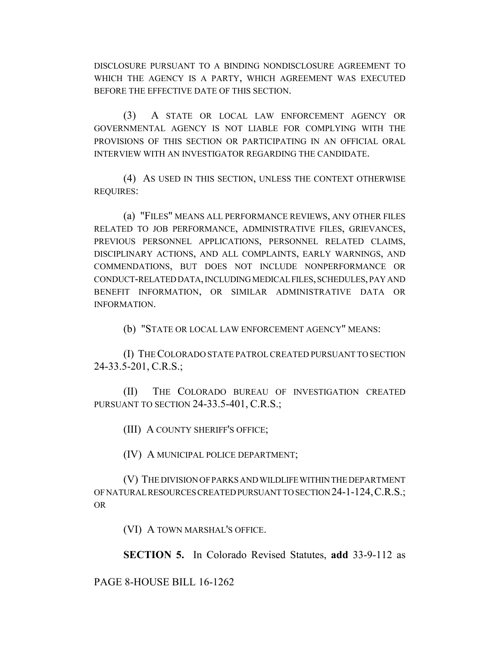DISCLOSURE PURSUANT TO A BINDING NONDISCLOSURE AGREEMENT TO WHICH THE AGENCY IS A PARTY, WHICH AGREEMENT WAS EXECUTED BEFORE THE EFFECTIVE DATE OF THIS SECTION.

(3) A STATE OR LOCAL LAW ENFORCEMENT AGENCY OR GOVERNMENTAL AGENCY IS NOT LIABLE FOR COMPLYING WITH THE PROVISIONS OF THIS SECTION OR PARTICIPATING IN AN OFFICIAL ORAL INTERVIEW WITH AN INVESTIGATOR REGARDING THE CANDIDATE.

(4) AS USED IN THIS SECTION, UNLESS THE CONTEXT OTHERWISE REQUIRES:

(a) "FILES" MEANS ALL PERFORMANCE REVIEWS, ANY OTHER FILES RELATED TO JOB PERFORMANCE, ADMINISTRATIVE FILES, GRIEVANCES, PREVIOUS PERSONNEL APPLICATIONS, PERSONNEL RELATED CLAIMS, DISCIPLINARY ACTIONS, AND ALL COMPLAINTS, EARLY WARNINGS, AND COMMENDATIONS, BUT DOES NOT INCLUDE NONPERFORMANCE OR CONDUCT-RELATED DATA, INCLUDING MEDICAL FILES, SCHEDULES, PAY AND BENEFIT INFORMATION, OR SIMILAR ADMINISTRATIVE DATA OR **INFORMATION** 

(b) "STATE OR LOCAL LAW ENFORCEMENT AGENCY" MEANS:

(I) THE COLORADO STATE PATROL CREATED PURSUANT TO SECTION 24-33.5-201, C.R.S.;

(II) THE COLORADO BUREAU OF INVESTIGATION CREATED PURSUANT TO SECTION 24-33.5-401, C.R.S.;

(III) A COUNTY SHERIFF'S OFFICE;

(IV) A MUNICIPAL POLICE DEPARTMENT;

(V) THE DIVISION OF PARKS AND WILDLIFE WITHIN THE DEPARTMENT OF NATURAL RESOURCES CREATED PURSUANT TO SECTION 24-1-124,C.R.S.; OR

(VI) A TOWN MARSHAL'S OFFICE.

**SECTION 5.** In Colorado Revised Statutes, **add** 33-9-112 as

PAGE 8-HOUSE BILL 16-1262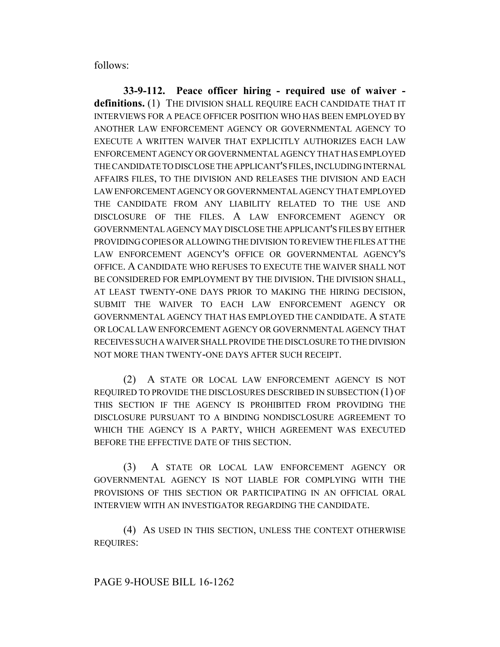follows:

**33-9-112. Peace officer hiring - required use of waiver definitions.** (1) THE DIVISION SHALL REQUIRE EACH CANDIDATE THAT IT INTERVIEWS FOR A PEACE OFFICER POSITION WHO HAS BEEN EMPLOYED BY ANOTHER LAW ENFORCEMENT AGENCY OR GOVERNMENTAL AGENCY TO EXECUTE A WRITTEN WAIVER THAT EXPLICITLY AUTHORIZES EACH LAW ENFORCEMENT AGENCY OR GOVERNMENTAL AGENCY THAT HAS EMPLOYED THE CANDIDATE TO DISCLOSE THE APPLICANT'S FILES, INCLUDING INTERNAL AFFAIRS FILES, TO THE DIVISION AND RELEASES THE DIVISION AND EACH LAW ENFORCEMENT AGENCY OR GOVERNMENTAL AGENCY THAT EMPLOYED THE CANDIDATE FROM ANY LIABILITY RELATED TO THE USE AND DISCLOSURE OF THE FILES. A LAW ENFORCEMENT AGENCY OR GOVERNMENTAL AGENCY MAY DISCLOSE THE APPLICANT'S FILES BY EITHER PROVIDING COPIES OR ALLOWING THE DIVISION TO REVIEW THE FILES AT THE LAW ENFORCEMENT AGENCY'S OFFICE OR GOVERNMENTAL AGENCY'S OFFICE. A CANDIDATE WHO REFUSES TO EXECUTE THE WAIVER SHALL NOT BE CONSIDERED FOR EMPLOYMENT BY THE DIVISION. THE DIVISION SHALL, AT LEAST TWENTY-ONE DAYS PRIOR TO MAKING THE HIRING DECISION, SUBMIT THE WAIVER TO EACH LAW ENFORCEMENT AGENCY OR GOVERNMENTAL AGENCY THAT HAS EMPLOYED THE CANDIDATE. A STATE OR LOCAL LAW ENFORCEMENT AGENCY OR GOVERNMENTAL AGENCY THAT RECEIVES SUCH A WAIVER SHALL PROVIDE THE DISCLOSURE TO THE DIVISION NOT MORE THAN TWENTY-ONE DAYS AFTER SUCH RECEIPT.

(2) A STATE OR LOCAL LAW ENFORCEMENT AGENCY IS NOT REQUIRED TO PROVIDE THE DISCLOSURES DESCRIBED IN SUBSECTION (1) OF THIS SECTION IF THE AGENCY IS PROHIBITED FROM PROVIDING THE DISCLOSURE PURSUANT TO A BINDING NONDISCLOSURE AGREEMENT TO WHICH THE AGENCY IS A PARTY, WHICH AGREEMENT WAS EXECUTED BEFORE THE EFFECTIVE DATE OF THIS SECTION.

(3) A STATE OR LOCAL LAW ENFORCEMENT AGENCY OR GOVERNMENTAL AGENCY IS NOT LIABLE FOR COMPLYING WITH THE PROVISIONS OF THIS SECTION OR PARTICIPATING IN AN OFFICIAL ORAL INTERVIEW WITH AN INVESTIGATOR REGARDING THE CANDIDATE.

(4) AS USED IN THIS SECTION, UNLESS THE CONTEXT OTHERWISE REQUIRES: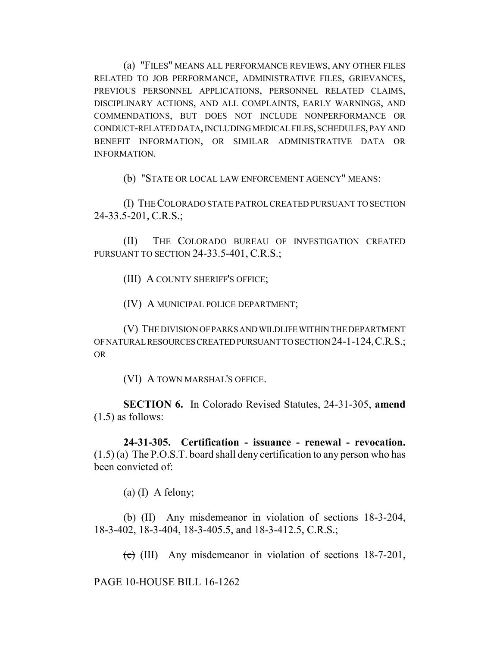(a) "FILES" MEANS ALL PERFORMANCE REVIEWS, ANY OTHER FILES RELATED TO JOB PERFORMANCE, ADMINISTRATIVE FILES, GRIEVANCES, PREVIOUS PERSONNEL APPLICATIONS, PERSONNEL RELATED CLAIMS, DISCIPLINARY ACTIONS, AND ALL COMPLAINTS, EARLY WARNINGS, AND COMMENDATIONS, BUT DOES NOT INCLUDE NONPERFORMANCE OR CONDUCT-RELATED DATA, INCLUDING MEDICAL FILES, SCHEDULES, PAY AND BENEFIT INFORMATION, OR SIMILAR ADMINISTRATIVE DATA OR INFORMATION.

(b) "STATE OR LOCAL LAW ENFORCEMENT AGENCY" MEANS:

(I) THE COLORADO STATE PATROL CREATED PURSUANT TO SECTION 24-33.5-201, C.R.S.;

(II) THE COLORADO BUREAU OF INVESTIGATION CREATED PURSUANT TO SECTION 24-33.5-401, C.R.S.;

(III) A COUNTY SHERIFF'S OFFICE;

(IV) A MUNICIPAL POLICE DEPARTMENT;

(V) THE DIVISION OF PARKS AND WILDLIFE WITHIN THE DEPARTMENT OF NATURAL RESOURCES CREATED PURSUANT TO SECTION 24-1-124,C.R.S.; OR

(VI) A TOWN MARSHAL'S OFFICE.

**SECTION 6.** In Colorado Revised Statutes, 24-31-305, **amend**  $(1.5)$  as follows:

**24-31-305. Certification - issuance - renewal - revocation.**  $(1.5)$  (a) The P.O.S.T. board shall deny certification to any person who has been convicted of:

 $(a)$  (I) A felony;

(b) (II) Any misdemeanor in violation of sections 18-3-204, 18-3-402, 18-3-404, 18-3-405.5, and 18-3-412.5, C.R.S.;

 $\overline{c}$  (III) Any misdemeanor in violation of sections 18-7-201,

PAGE 10-HOUSE BILL 16-1262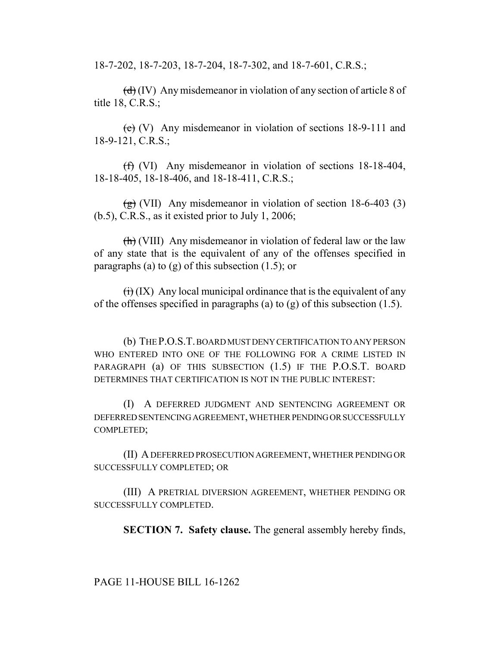18-7-202, 18-7-203, 18-7-204, 18-7-302, and 18-7-601, C.R.S.;

 $(d)$  (IV) Any misdemeanor in violation of any section of article 8 of title 18, C.R.S.;

 $(e)$  (V) Any misdemeanor in violation of sections 18-9-111 and 18-9-121, C.R.S.;

(f) (VI) Any misdemeanor in violation of sections 18-18-404, 18-18-405, 18-18-406, and 18-18-411, C.R.S.;

 $\frac{1}{2}$  (VII) Any misdemeanor in violation of section 18-6-403 (3)  $(b.5)$ , C.R.S., as it existed prior to July 1, 2006;

 $\left(\frac{h}{h}\right)$  (VIII) Any misdemeanor in violation of federal law or the law of any state that is the equivalent of any of the offenses specified in paragraphs (a) to (g) of this subsection  $(1.5)$ ; or

 $\overline{(ii)}$  (IX) Any local municipal ordinance that is the equivalent of any of the offenses specified in paragraphs (a) to (g) of this subsection (1.5).

(b) THE P.O.S.T. BOARD MUST DENY CERTIFICATION TO ANY PERSON WHO ENTERED INTO ONE OF THE FOLLOWING FOR A CRIME LISTED IN PARAGRAPH (a) OF THIS SUBSECTION (1.5) IF THE P.O.S.T. BOARD DETERMINES THAT CERTIFICATION IS NOT IN THE PUBLIC INTEREST:

(I) A DEFERRED JUDGMENT AND SENTENCING AGREEMENT OR DEFERRED SENTENCING AGREEMENT, WHETHER PENDING OR SUCCESSFULLY COMPLETED;

(II) A DEFERRED PROSECUTION AGREEMENT, WHETHER PENDING OR SUCCESSFULLY COMPLETED; OR

(III) A PRETRIAL DIVERSION AGREEMENT, WHETHER PENDING OR SUCCESSFULLY COMPLETED.

**SECTION 7. Safety clause.** The general assembly hereby finds,